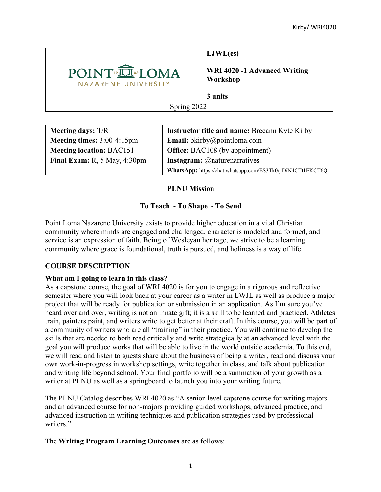

**LJWL(es)**

**WRI 4020 -1 Advanced Writing Workshop**

**3 units**

Spring 2022

| <b>Meeting days: T/R</b>        | <b>Instructor title and name: Breeann Kyte Kirby</b>       |
|---------------------------------|------------------------------------------------------------|
| Meeting times: 3:00-4:15pm      | <b>Email:</b> bkirby@pointloma.com                         |
| <b>Meeting location: BAC151</b> | <b>Office:</b> BAC108 (by appointment)                     |
| Final Exam: $R$ , 5 May, 4:30pm | <b>Instagram:</b> @naturenarratives                        |
|                                 | WhatsApp: https://chat.whatsapp.com/ES3Tk0qiDiN4CTt1EKCT6Q |

## **PLNU Mission**

# **To Teach ~ To Shape ~ To Send**

Point Loma Nazarene University exists to provide higher education in a vital Christian community where minds are engaged and challenged, character is modeled and formed, and service is an expression of faith. Being of Wesleyan heritage, we strive to be a learning community where grace is foundational, truth is pursued, and holiness is a way of life.

# **COURSE DESCRIPTION**

### **What am I going to learn in this class?**

As a capstone course, the goal of WRI 4020 is for you to engage in a rigorous and reflective semester where you will look back at your career as a writer in LWJL as well as produce a major project that will be ready for publication or submission in an application. As I'm sure you've heard over and over, writing is not an innate gift; it is a skill to be learned and practiced. Athletes train, painters paint, and writers write to get better at their craft. In this course, you will be part of a community of writers who are all "training" in their practice. You will continue to develop the skills that are needed to both read critically and write strategically at an advanced level with the goal you will produce works that will be able to live in the world outside academia. To this end, we will read and listen to guests share about the business of being a writer, read and discuss your own work-in-progress in workshop settings, write together in class, and talk about publication and writing life beyond school. Your final portfolio will be a summation of your growth as a writer at PLNU as well as a springboard to launch you into your writing future.

The PLNU Catalog describes WRI 4020 as "A senior-level capstone course for writing majors and an advanced course for non-majors providing guided workshops, advanced practice, and advanced instruction in writing techniques and publication strategies used by professional writers."

The **Writing Program Learning Outcomes** are as follows: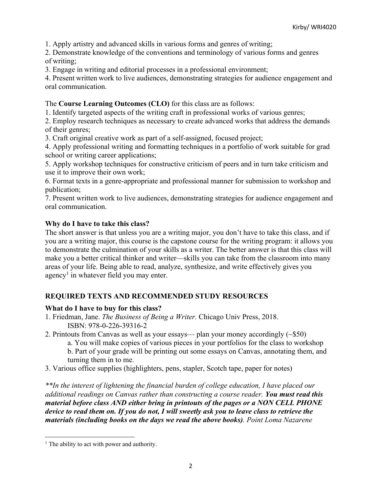1. Apply artistry and advanced skills in various forms and genres of writing;

2. Demonstrate knowledge of the conventions and terminology of various forms and genres of writing;

3. Engage in writing and editorial processes in a professional environment;

4. Present written work to live audiences, demonstrating strategies for audience engagement and oral communication.

## The **Course Learning Outcomes (CLO)** for this class are as follows:

1. Identify targeted aspects of the writing craft in professional works of various genres;

2. Employ research techniques as necessary to create advanced works that address the demands of their genres;

3. Craft original creative work as part of a self-assigned, focused project;

4. Apply professional writing and formatting techniques in a portfolio of work suitable for grad school or writing career applications;

5. Apply workshop techniques for constructive criticism of peers and in turn take criticism and use it to improve their own work;

6. Format texts in a genre-appropriate and professional manner for submission to workshop and publication;

7. Present written work to live audiences, demonstrating strategies for audience engagement and oral communication.

# **Why do I have to take this class?**

The short answer is that unless you are a writing major, you don't have to take this class, and if you are a writing major, this course is the capstone course for the writing program: it allows you to demonstrate the culmination of your skills as a writer. The better answer is that this class will make you a better critical thinker and writer—skills you can take from the classroom into many areas of your life. Being able to read, analyze, synthesize, and write effectively gives you agency<sup>1</sup> in whatever field you may enter.

# **REQUIRED TEXTS AND RECOMMENDED STUDY RESOURCES**

### **What do I have to buy for this class?**

- 1. Friedman, Jane. *The Business of Being a Writer.* Chicago Univ Press, 2018. ISBN: 978-0-226-39316-2
- 2. Printouts from Canvas as well as your essays— plan your money accordingly (~\$50)

a. You will make copies of various pieces in your portfolios for the class to workshop b. Part of your grade will be printing out some essays on Canvas, annotating them, and turning them in to me.

3. Various office supplies (highlighters, pens, stapler, Scotch tape, paper for notes)

*\*\*In the interest of lightening the financial burden of college education, I have placed our additional readings on Canvas rather than constructing a course reader. You must read this material before class AND either bring in printouts of the pages or a NON CELL PHONE device to read them on. If you do not, I will sweetly ask you to leave class to retrieve the materials (including books on the days we read the above books). Point Loma Nazarene* 

 $<sup>1</sup>$  The ability to act with power and authority.</sup>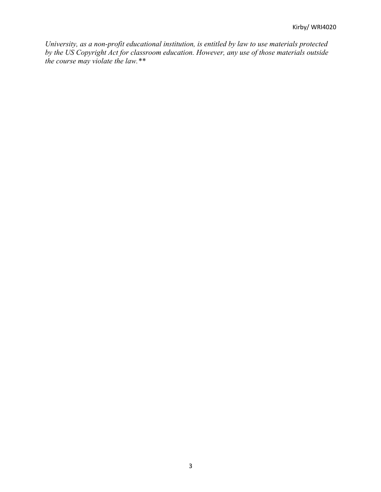*University, as a non-profit educational institution, is entitled by law to use materials protected by the US Copyright Act for classroom education. However, any use of those materials outside the course may violate the law.\*\**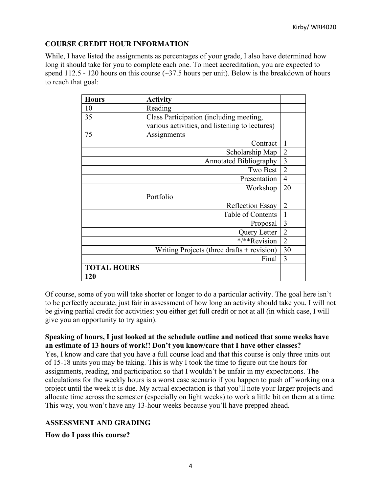### **COURSE CREDIT HOUR INFORMATION**

While, I have listed the assignments as percentages of your grade, I also have determined how long it should take for you to complete each one. To meet accreditation, you are expected to spend 112.5 - 120 hours on this course  $(\sim]37.5$  hours per unit). Below is the breakdown of hours to reach that goal:

| <b>Hours</b>       | <b>Activity</b>                                |                |
|--------------------|------------------------------------------------|----------------|
| 10                 | Reading                                        |                |
| 35                 | Class Participation (including meeting,        |                |
|                    | various activities, and listening to lectures) |                |
| 75                 | Assignments                                    |                |
|                    | Contract                                       | 1              |
|                    | Scholarship Map                                | $\overline{2}$ |
|                    | <b>Annotated Bibliography</b>                  | 3              |
|                    | Two Best                                       | $\overline{2}$ |
|                    | Presentation                                   | $\overline{4}$ |
|                    | Workshop                                       | 20             |
|                    | Portfolio                                      |                |
|                    | <b>Reflection Essay</b>                        | $\overline{2}$ |
|                    | Table of Contents                              | $\mathbf{1}$   |
|                    | Proposal                                       | 3              |
|                    | Query Letter                                   | $\overline{2}$ |
|                    | */**Revision                                   | $\overline{2}$ |
|                    | Writing Projects (three drafts $+$ revision)   | 30             |
|                    | Final                                          | 3              |
| <b>TOTAL HOURS</b> |                                                |                |
| 120                |                                                |                |

Of course, some of you will take shorter or longer to do a particular activity. The goal here isn't to be perfectly accurate, just fair in assessment of how long an activity should take you. I will not be giving partial credit for activities: you either get full credit or not at all (in which case, I will give you an opportunity to try again).

### **Speaking of hours, I just looked at the schedule outline and noticed that some weeks have an estimate of 13 hours of work!! Don't you know/care that I have other classes?**

Yes, I know and care that you have a full course load and that this course is only three units out of 15-18 units you may be taking. This is why I took the time to figure out the hours for assignments, reading, and participation so that I wouldn't be unfair in my expectations. The calculations for the weekly hours is a worst case scenario if you happen to push off working on a project until the week it is due. My actual expectation is that you'll note your larger projects and allocate time across the semester (especially on light weeks) to work a little bit on them at a time. This way, you won't have any 13-hour weeks because you'll have prepped ahead.

### **ASSESSMENT AND GRADING**

**How do I pass this course?**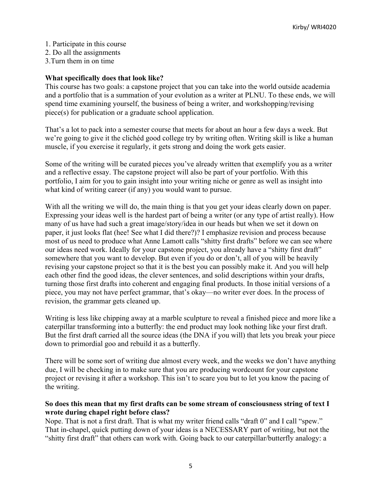- 1. Participate in this course
- 2. Do all the assignments
- 3.Turn them in on time

### **What specifically does that look like?**

This course has two goals: a capstone project that you can take into the world outside academia and a portfolio that is a summation of your evolution as a writer at PLNU. To these ends, we will spend time examining yourself, the business of being a writer, and workshopping/revising piece(s) for publication or a graduate school application.

That's a lot to pack into a semester course that meets for about an hour a few days a week. But we're going to give it the clichéd good college try by writing often. Writing skill is like a human muscle, if you exercise it regularly, it gets strong and doing the work gets easier.

Some of the writing will be curated pieces you've already written that exemplify you as a writer and a reflective essay. The capstone project will also be part of your portfolio. With this portfolio, I aim for you to gain insight into your writing niche or genre as well as insight into what kind of writing career (if any) you would want to pursue.

With all the writing we will do, the main thing is that you get your ideas clearly down on paper. Expressing your ideas well is the hardest part of being a writer (or any type of artist really). How many of us have had such a great image/story/idea in our heads but when we set it down on paper, it just looks flat (hee! See what I did there?)? I emphasize revision and process because most of us need to produce what Anne Lamott calls "shitty first drafts" before we can see where our ideas need work. Ideally for your capstone project, you already have a "shitty first draft" somewhere that you want to develop. But even if you do or don't, all of you will be heavily revising your capstone project so that it is the best you can possibly make it. And you will help each other find the good ideas, the clever sentences, and solid descriptions within your drafts, turning those first drafts into coherent and engaging final products. In those initial versions of a piece, you may not have perfect grammar, that's okay—no writer ever does. In the process of revision, the grammar gets cleaned up.

Writing is less like chipping away at a marble sculpture to reveal a finished piece and more like a caterpillar transforming into a butterfly: the end product may look nothing like your first draft. But the first draft carried all the source ideas (the DNA if you will) that lets you break your piece down to primordial goo and rebuild it as a butterfly.

There will be some sort of writing due almost every week, and the weeks we don't have anything due, I will be checking in to make sure that you are producing wordcount for your capstone project or revising it after a workshop. This isn't to scare you but to let you know the pacing of the writing.

### **So does this mean that my first drafts can be some stream of consciousness string of text I wrote during chapel right before class?**

Nope. That is not a first draft. That is what my writer friend calls "draft 0" and I call "spew." That in-chapel, quick putting down of your ideas is a NECESSARY part of writing, but not the "shitty first draft" that others can work with. Going back to our caterpillar/butterfly analogy: a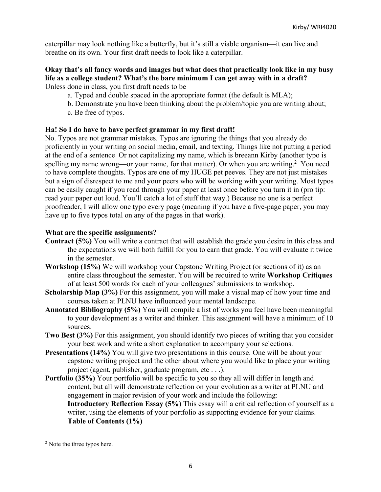caterpillar may look nothing like a butterfly, but it's still a viable organism—it can live and breathe on its own. Your first draft needs to look like a caterpillar.

#### **Okay that's all fancy words and images but what does that practically look like in my busy life as a college student? What's the bare minimum I can get away with in a draft?** Unless done in class, you first draft needs to be

- a. Typed and double spaced in the appropriate format (the default is MLA);
- b. Demonstrate you have been thinking about the problem/topic you are writing about;
- c. Be free of typos.

## **Ha! So I do have to have perfect grammar in my first draft!**

No. Typos are not grammar mistakes. Typos are ignoring the things that you already do proficiently in your writing on social media, email, and texting. Things like not putting a period at the end of a sentence Or not capitalizing my name, which is breeann Kirby (another typo is spelling my name wrong—or your name, for that matter). Or when you are writing.<sup>2</sup> You need to have complete thoughts. Typos are one of my HUGE pet peeves. They are not just mistakes but a sign of disrespect to me and your peers who will be working with your writing. Most typos can be easily caught if you read through your paper at least once before you turn it in (pro tip: read your paper out loud. You'll catch a lot of stuff that way.) Because no one is a perfect proofreader, I will allow one typo every page (meaning if you have a five-page paper, you may have up to five typos total on any of the pages in that work).

## **What are the specific assignments?**

- **Contract (5%)** You will write a contract that will establish the grade you desire in this class and the expectations we will both fulfill for you to earn that grade. You will evaluate it twice in the semester.
- **Workshop (15%)** We will workshop your Capstone Writing Project (or sections of it) as an entire class throughout the semester. You will be required to write **Workshop Critiques** of at least 500 words for each of your colleagues' submissions to workshop.
- **Scholarship Map (3%)** For this assignment, you will make a visual map of how your time and courses taken at PLNU have influenced your mental landscape.
- **Annotated Bibliography (5%)** You will compile a list of works you feel have been meaningful to your development as a writer and thinker. This assignment will have a minimum of 10 sources.
- **Two Best (3%)** For this assignment, you should identify two pieces of writing that you consider your best work and write a short explanation to accompany your selections.
- **Presentations (14%)** You will give two presentations in this course. One will be about your capstone writing project and the other about where you would like to place your writing project (agent, publisher, graduate program, etc . . .).
- **Portfolio** (35%) Your portfolio will be specific to you so they all will differ in length and content, but all will demonstrate reflection on your evolution as a writer at PLNU and engagement in major revision of your work and include the following:

**Introductory Reflection Essay (5%)** This essay will a critical reflection of yourself as a writer, using the elements of your portfolio as supporting evidence for your claims. **Table of Contents (1%)**

<sup>&</sup>lt;sup>2</sup> Note the three typos here.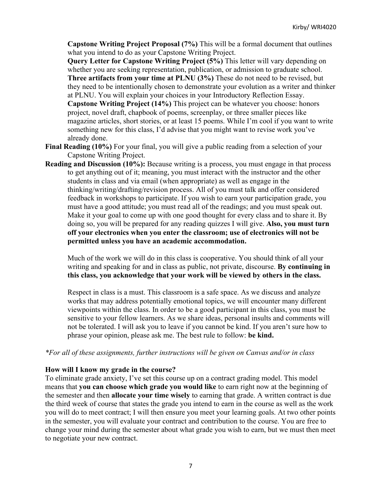**Capstone Writing Project Proposal (7%)** This will be a formal document that outlines what you intend to do as your Capstone Writing Project.

**Query Letter for Capstone Writing Project (5%)** This letter will vary depending on whether you are seeking representation, publication, or admission to graduate school. **Three artifacts from your time at PLNU (3%)** These do not need to be revised, but they need to be intentionally chosen to demonstrate your evolution as a writer and thinker at PLNU. You will explain your choices in your Introductory Reflection Essay. **Capstone Writing Project (14%)** This project can be whatever you choose: honors project, novel draft, chapbook of poems, screenplay, or three smaller pieces like magazine articles, short stories, or at least 15 poems. While I'm cool if you want to write something new for this class, I'd advise that you might want to revise work you've already done.

- **Final Reading (10%)** For your final, you will give a public reading from a selection of your Capstone Writing Project.
- **Reading and Discussion (10%):** Because writing is a process, you must engage in that process to get anything out of it; meaning, you must interact with the instructor and the other students in class and via email (when appropriate) as well as engage in the thinking/writing/drafting/revision process. All of you must talk and offer considered feedback in workshops to participate. If you wish to earn your participation grade, you must have a good attitude; you must read all of the readings; and you must speak out. Make it your goal to come up with one good thought for every class and to share it. By doing so, you will be prepared for any reading quizzes I will give. **Also, you must turn off your electronics when you enter the classroom; use of electronics will not be permitted unless you have an academic accommodation.**

Much of the work we will do in this class is cooperative. You should think of all your writing and speaking for and in class as public, not private, discourse. **By continuing in this class, you acknowledge that your work will be viewed by others in the class.**

Respect in class is a must. This classroom is a safe space. As we discuss and analyze works that may address potentially emotional topics, we will encounter many different viewpoints within the class. In order to be a good participant in this class, you must be sensitive to your fellow learners. As we share ideas, personal insults and comments will not be tolerated. I will ask you to leave if you cannot be kind. If you aren't sure how to phrase your opinion, please ask me. The best rule to follow: **be kind.**

#### *\*For all of these assignments, further instructions will be given on Canvas and/or in class*

#### **How will I know my grade in the course?**

To eliminate grade anxiety, I've set this course up on a contract grading model. This model means that **you can choose which grade you would like** to earn right now at the beginning of the semester and then **allocate your time wisely** to earning that grade. A written contract is due the third week of course that states the grade you intend to earn in the course as well as the work you will do to meet contract; I will then ensure you meet your learning goals. At two other points in the semester, you will evaluate your contract and contribution to the course. You are free to change your mind during the semester about what grade you wish to earn, but we must then meet to negotiate your new contract.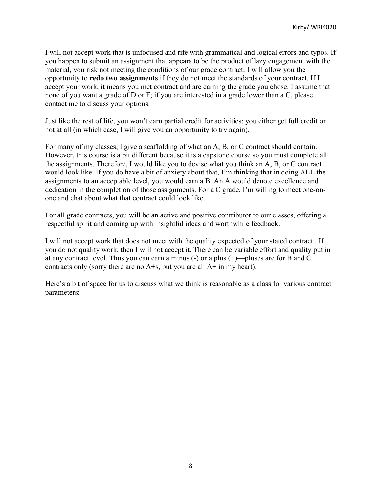I will not accept work that is unfocused and rife with grammatical and logical errors and typos. If you happen to submit an assignment that appears to be the product of lazy engagement with the material, you risk not meeting the conditions of our grade contract; I will allow you the opportunity to **redo two assignments** if they do not meet the standards of your contract. If I accept your work, it means you met contract and are earning the grade you chose. I assume that none of you want a grade of D or F; if you are interested in a grade lower than a C, please contact me to discuss your options.

Just like the rest of life, you won't earn partial credit for activities: you either get full credit or not at all (in which case, I will give you an opportunity to try again).

For many of my classes, I give a scaffolding of what an A, B, or C contract should contain. However, this course is a bit different because it is a capstone course so you must complete all the assignments. Therefore, I would like you to devise what you think an A, B, or C contract would look like. If you do have a bit of anxiety about that, I'm thinking that in doing ALL the assignments to an acceptable level, you would earn a B. An A would denote excellence and dedication in the completion of those assignments. For a C grade, I'm willing to meet one-onone and chat about what that contract could look like.

For all grade contracts, you will be an active and positive contributor to our classes, offering a respectful spirit and coming up with insightful ideas and worthwhile feedback.

I will not accept work that does not meet with the quality expected of your stated contract.. If you do not quality work, then I will not accept it. There can be variable effort and quality put in at any contract level. Thus you can earn a minus (-) or a plus (+)—pluses are for B and C contracts only (sorry there are no  $A + s$ , but you are all  $A + in$  my heart).

Here's a bit of space for us to discuss what we think is reasonable as a class for various contract parameters: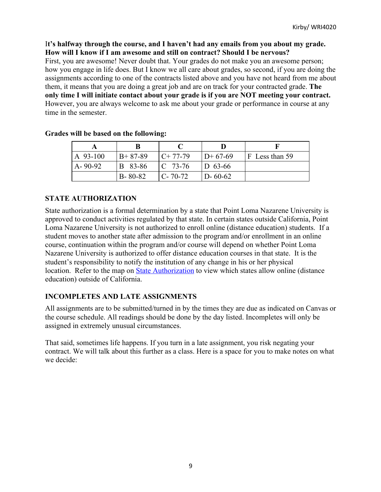### I**t's halfway through the course, and I haven't had any emails from you about my grade. How will I know if I am awesome and still on contract? Should I be nervous?**

First, you are awesome! Never doubt that. Your grades do not make you an awesome person; how you engage in life does. But I know we all care about grades, so second, if you are doing the assignments according to one of the contracts listed above and you have not heard from me about them, it means that you are doing a great job and are on track for your contracted grade. **The only time I will initiate contact about your grade is if you are NOT meeting your contract.** However, you are always welcome to ask me about your grade or performance in course at any time in the semester.

| A 93-100      | $B+87-89$     | $C+77-79$            | $D+67-69$     | F Less than 59 |
|---------------|---------------|----------------------|---------------|----------------|
| $A - 90 - 92$ | B 83-86       | $\overline{C}$ 73-76 | $D_{63-66}$   |                |
|               | $B - 80 - 82$ | $C - 70 - 72$        | $D - 60 - 62$ |                |

### **Grades will be based on the following:**

## **STATE AUTHORIZATION**

State authorization is a formal determination by a state that Point Loma Nazarene University is approved to conduct activities regulated by that state. In certain states outside California, Point Loma Nazarene University is not authorized to enroll online (distance education) students. If a student moves to another state after admission to the program and/or enrollment in an online course, continuation within the program and/or course will depend on whether Point Loma Nazarene University is authorized to offer distance education courses in that state. It is the student's responsibility to notify the institution of any change in his or her physical location. Refer to the map on State Authorization to view which states allow online (distance education) outside of California.

### **INCOMPLETES AND LATE ASSIGNMENTS**

All assignments are to be submitted/turned in by the times they are due as indicated on Canvas or the course schedule. All readings should be done by the day listed. Incompletes will only be assigned in extremely unusual circumstances.

That said, sometimes life happens. If you turn in a late assignment, you risk negating your contract. We will talk about this further as a class. Here is a space for you to make notes on what we decide: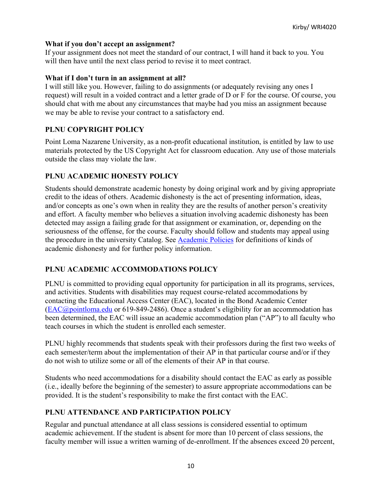#### **What if you don't accept an assignment?**

If your assignment does not meet the standard of our contract, I will hand it back to you. You will then have until the next class period to revise it to meet contract.

#### **What if I don't turn in an assignment at all?**

I will still like you. However, failing to do assignments (or adequately revising any ones I request) will result in a voided contract and a letter grade of D or F for the course. Of course, you should chat with me about any circumstances that maybe had you miss an assignment because we may be able to revise your contract to a satisfactory end.

### **PLNU COPYRIGHT POLICY**

Point Loma Nazarene University, as a non-profit educational institution, is entitled by law to use materials protected by the US Copyright Act for classroom education. Any use of those materials outside the class may violate the law.

### **PLNU ACADEMIC HONESTY POLICY**

Students should demonstrate academic honesty by doing original work and by giving appropriate credit to the ideas of others. Academic dishonesty is the act of presenting information, ideas, and/or concepts as one's own when in reality they are the results of another person's creativity and effort. A faculty member who believes a situation involving academic dishonesty has been detected may assign a failing grade for that assignment or examination, or, depending on the seriousness of the offense, for the course. Faculty should follow and students may appeal using the procedure in the university Catalog. See Academic Policies for definitions of kinds of academic dishonesty and for further policy information.

### **PLNU ACADEMIC ACCOMMODATIONS POLICY**

PLNU is committed to providing equal opportunity for participation in all its programs, services, and activities. Students with disabilities may request course-related accommodations by contacting the Educational Access Center (EAC), located in the Bond Academic Center (EAC@pointloma.edu or 619-849-2486). Once a student's eligibility for an accommodation has been determined, the EAC will issue an academic accommodation plan ("AP") to all faculty who teach courses in which the student is enrolled each semester.

PLNU highly recommends that students speak with their professors during the first two weeks of each semester/term about the implementation of their AP in that particular course and/or if they do not wish to utilize some or all of the elements of their AP in that course.

Students who need accommodations for a disability should contact the EAC as early as possible (i.e., ideally before the beginning of the semester) to assure appropriate accommodations can be provided. It is the student's responsibility to make the first contact with the EAC.

#### **PLNU ATTENDANCE AND PARTICIPATION POLICY**

Regular and punctual attendance at all class sessions is considered essential to optimum academic achievement. If the student is absent for more than 10 percent of class sessions, the faculty member will issue a written warning of de-enrollment. If the absences exceed 20 percent,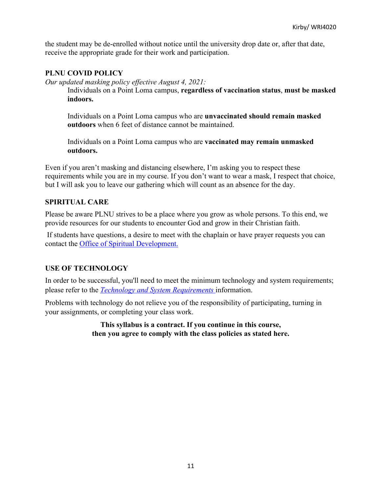the student may be de-enrolled without notice until the university drop date or, after that date, receive the appropriate grade for their work and participation.

### **PLNU COVID POLICY**

*Our updated masking policy effective August 4, 2021:*

Individuals on a Point Loma campus, **regardless of vaccination status**, **must be masked indoors.**

Individuals on a Point Loma campus who are **unvaccinated should remain masked outdoors** when 6 feet of distance cannot be maintained.

Individuals on a Point Loma campus who are **vaccinated may remain unmasked outdoors.**

Even if you aren't masking and distancing elsewhere, I'm asking you to respect these requirements while you are in my course. If you don't want to wear a mask, I respect that choice, but I will ask you to leave our gathering which will count as an absence for the day.

### **SPIRITUAL CARE**

Please be aware PLNU strives to be a place where you grow as whole persons. To this end, we provide resources for our students to encounter God and grow in their Christian faith.

If students have questions, a desire to meet with the chaplain or have prayer requests you can contact the Office of Spiritual Development.

### **USE OF TECHNOLOGY**

In order to be successful, you'll need to meet the minimum technology and system requirements; please refer to the *Technology and System Requirements* information.

Problems with technology do not relieve you of the responsibility of participating, turning in your assignments, or completing your class work.

> **This syllabus is a contract. If you continue in this course, then you agree to comply with the class policies as stated here.**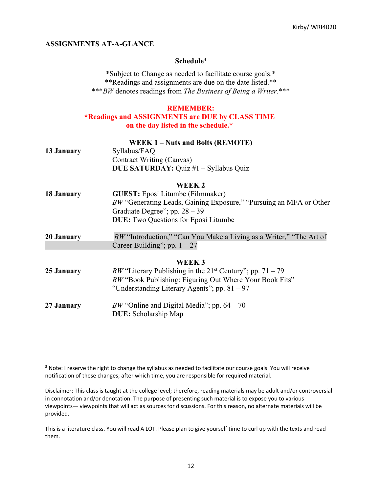#### **ASSIGNMENTS AT-A-GLANCE**

#### **Schedule3**

\*Subject to Change as needed to facilitate course goals.\* \*\*Readings and assignments are due on the date listed.\*\* \*\*\**BW* denotes readings from *The Business of Being a Writer.*\*\*\*

#### **REMEMBER:**

#### **\*Readings and ASSIGNMENTS are DUE by CLASS TIME on the day listed in the schedule.\***

|            | <b>WEEK 1-Nuts and Bolts (REMOTE)</b>                                        |
|------------|------------------------------------------------------------------------------|
| 13 January | Syllabus/FAQ                                                                 |
|            | Contract Writing (Canvas)                                                    |
|            | DUE SATURDAY: Quiz #1 - Syllabus Quiz                                        |
|            | WEEK <sub>2</sub>                                                            |
| 18 January | <b>GUEST:</b> Eposi Litumbe (Filmmaker)                                      |
|            | BW "Generating Leads, Gaining Exposure," "Pursuing an MFA or Other           |
|            | Graduate Degree"; pp. $28 - 39$                                              |
|            | <b>DUE:</b> Two Questions for Eposi Litumbe                                  |
| 20 January | BW "Introduction," "Can You Make a Living as a Writer," "The Art of          |
|            | Career Building"; pp. $1 - 27$                                               |
|            | WEEK <sub>3</sub>                                                            |
| 25 January | <i>BW</i> "Literary Publishing in the 21 <sup>st</sup> Century"; pp. 71 – 79 |
|            | BW "Book Publishing: Figuring Out Where Your Book Fits"                      |
|            | "Understanding Literary Agents"; pp. $81 - 97$                               |
| 27 January | BW "Online and Digital Media"; pp. $64 - 70$                                 |
|            | <b>DUE:</b> Scholarship Map                                                  |

<sup>&</sup>lt;sup>3</sup> Note: I reserve the right to change the syllabus as needed to facilitate our course goals. You will receive notification of these changes; after which time, you are responsible for required material.

Disclaimer: This class is taught at the college level; therefore, reading materials may be adult and/or controversial in connotation and/or denotation. The purpose of presenting such material is to expose you to various viewpoints— viewpoints that will act as sources for discussions. For this reason, no alternate materials will be provided.

This is a literature class. You will read A LOT. Please plan to give yourself time to curl up with the texts and read them.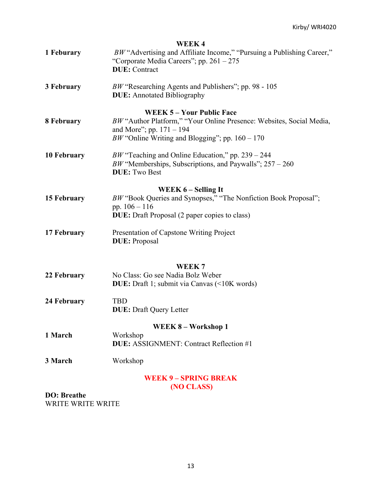|                     | <b>WEEK4</b>                                                           |
|---------------------|------------------------------------------------------------------------|
| 1 Feburary          | BW "Advertising and Affiliate Income," "Pursuing a Publishing Career," |
|                     | "Corporate Media Careers"; pp. $261 - 275$                             |
|                     | <b>DUE</b> : Contract                                                  |
| 3 February          | $BW$ "Researching Agents and Publishers"; pp. 98 - 105                 |
|                     | <b>DUE:</b> Annotated Bibliography                                     |
|                     | <b>WEEK 5 - Your Public Face</b>                                       |
| 8 February          | BW "Author Platform," "Your Online Presence: Websites, Social Media,   |
|                     | and More"; pp. $171 - 194$                                             |
|                     | BW "Online Writing and Blogging"; pp. $160 - 170$                      |
| <b>10 February</b>  | BW "Teaching and Online Education," pp. $239 - 244$                    |
|                     | BW "Memberships, Subscriptions, and Paywalls"; $257 - 260$             |
|                     | <b>DUE: Two Best</b>                                                   |
|                     | WEEK 6 – Selling It                                                    |
| 15 February         | BW "Book Queries and Synopses," "The Nonfiction Book Proposal";        |
|                     | pp. $106 - 116$                                                        |
|                     | <b>DUE:</b> Draft Proposal (2 paper copies to class)                   |
| 17 February         | Presentation of Capstone Writing Project                               |
|                     | <b>DUE</b> : Proposal                                                  |
|                     |                                                                        |
|                     | WEEK <sub>7</sub>                                                      |
| 22 February         | No Class: Go see Nadia Bolz Weber                                      |
|                     | <b>DUE:</b> Draft 1; submit via Canvas (<10K words)                    |
| 24 February         | <b>TBD</b>                                                             |
|                     | <b>DUE:</b> Draft Query Letter                                         |
|                     | WEEK 8 - Workshop 1                                                    |
| 1 March             | Workshop                                                               |
|                     | <b>DUE:</b> ASSIGNMENT: Contract Reflection #1                         |
| 3 March             | Workshop                                                               |
|                     | <b>WEEK 9 - SPRING BREAK</b>                                           |
|                     | (NO CLASS)                                                             |
| <b>DO</b> : Breathe |                                                                        |

WRITE WRITE WRITE